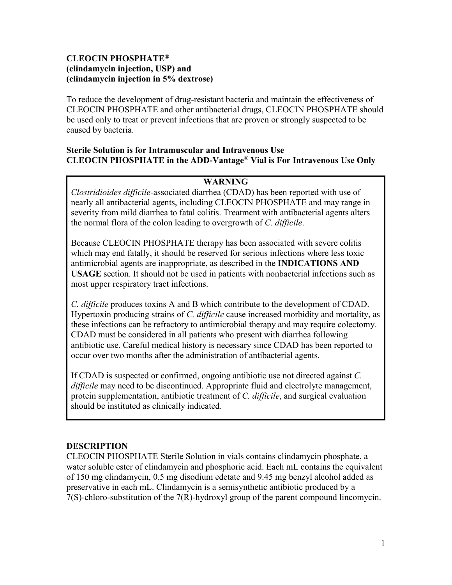# **CLEOCIN PHOSPHATE® (clindamycin injection, USP) and (clindamycin injection in 5% dextrose)**

To reduce the development of drug-resistant bacteria and maintain the effectiveness of CLEOCIN PHOSPHATE and other antibacterial drugs, CLEOCIN PHOSPHATE should be used only to treat or prevent infections that are proven or strongly suspected to be caused by bacteria.

## **Sterile Solution is for Intramuscular and Intravenous Use CLEOCIN PHOSPHATE in the ADD-Vantage**® **Vial is For Intravenous Use Only**

# **WARNING**

*Clostridioides difficile-*associated diarrhea (CDAD) has been reported with use of nearly all antibacterial agents, including CLEOCIN PHOSPHATE and may range in severity from mild diarrhea to fatal colitis. Treatment with antibacterial agents alters the normal flora of the colon leading to overgrowth of *C. difficile*.

Because CLEOCIN PHOSPHATE therapy has been associated with severe colitis which may end fatally, it should be reserved for serious infections where less toxic antimicrobial agents are inappropriate, as described in the **INDICATIONS AND USAGE** section. It should not be used in patients with nonbacterial infections such as most upper respiratory tract infections.

*C. difficile* produces toxins A and B which contribute to the development of CDAD. Hypertoxin producing strains of *C. difficile* cause increased morbidity and mortality, as these infections can be refractory to antimicrobial therapy and may require colectomy. CDAD must be considered in all patients who present with diarrhea following antibiotic use. Careful medical history is necessary since CDAD has been reported to occur over two months after the administration of antibacterial agents.

If CDAD is suspected or confirmed, ongoing antibiotic use not directed against *C. difficile* may need to be discontinued. Appropriate fluid and electrolyte management, protein supplementation, antibiotic treatment of *C. difficile*, and surgical evaluation should be instituted as clinically indicated.

## **DESCRIPTION**

CLEOCIN PHOSPHATE Sterile Solution in vials contains clindamycin phosphate, a water soluble ester of clindamycin and phosphoric acid. Each mL contains the equivalent of 150 mg clindamycin, 0.5 mg disodium edetate and 9.45 mg benzyl alcohol added as preservative in each mL. Clindamycin is a semisynthetic antibiotic produced by a 7(S)-chloro-substitution of the 7(R)-hydroxyl group of the parent compound lincomycin.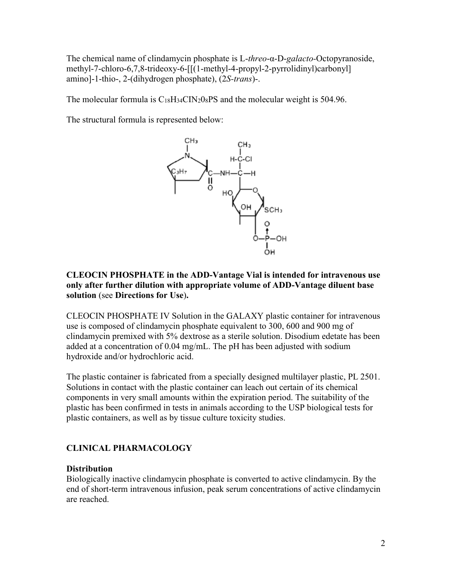The chemical name of clindamycin phosphate is L-*threo*-α-D-*galacto-*Octopyranoside, methyl-7-chloro-6,7,8-trideoxy-6-[[(1-methyl-4-propyl-2-pyrrolidinyl)carbonyl] amino]-1-thio-, 2-(dihydrogen phosphate), (2*S-trans*)-.

The molecular formula is  $C_{18}H_{34}CIN_20_8PS$  and the molecular weight is 504.96.

The structural formula is represented below:



#### **CLEOCIN PHOSPHATE in the ADD-Vantage Vial is intended for intravenous use only after further dilution with appropriate volume of ADD-Vantage diluent base solution** (see **Directions for Use**)**.**

CLEOCIN PHOSPHATE IV Solution in the GALAXY plastic container for intravenous use is composed of clindamycin phosphate equivalent to 300, 600 and 900 mg of clindamycin premixed with 5% dextrose as a sterile solution. Disodium edetate has been added at a concentration of 0.04 mg/mL. The pH has been adjusted with sodium hydroxide and/or hydrochloric acid.

The plastic container is fabricated from a specially designed multilayer plastic, PL 2501. Solutions in contact with the plastic container can leach out certain of its chemical components in very small amounts within the expiration period. The suitability of the plastic has been confirmed in tests in animals according to the USP biological tests for plastic containers, as well as by tissue culture toxicity studies.

# **CLINICAL PHARMACOLOGY**

## **Distribution**

Biologically inactive clindamycin phosphate is converted to active clindamycin. By the end of short-term intravenous infusion, peak serum concentrations of active clindamycin are reached.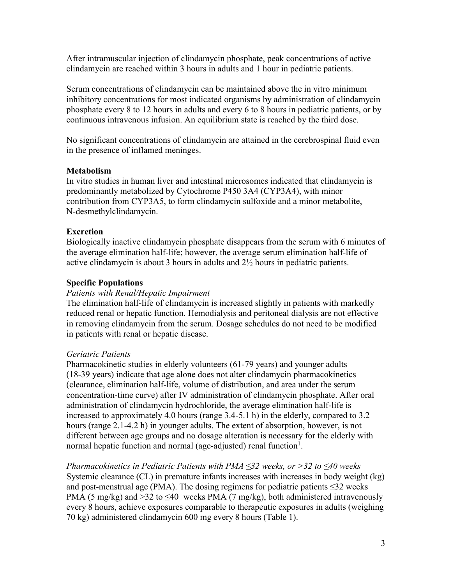After intramuscular injection of clindamycin phosphate, peak concentrations of active clindamycin are reached within 3 hours in adults and 1 hour in pediatric patients.

Serum concentrations of clindamycin can be maintained above the in vitro minimum inhibitory concentrations for most indicated organisms by administration of clindamycin phosphate every 8 to 12 hours in adults and every 6 to 8 hours in pediatric patients, or by continuous intravenous infusion. An equilibrium state is reached by the third dose.

No significant concentrations of clindamycin are attained in the cerebrospinal fluid even in the presence of inflamed meninges.

#### **Metabolism**

In vitro studies in human liver and intestinal microsomes indicated that clindamycin is predominantly metabolized by Cytochrome P450 3A4 (CYP3A4), with minor contribution from CYP3A5, to form clindamycin sulfoxide and a minor metabolite, N-desmethylclindamycin.

#### **Excretion**

Biologically inactive clindamycin phosphate disappears from the serum with 6 minutes of the average elimination half-life; however, the average serum elimination half-life of active clindamycin is about 3 hours in adults and 2½ hours in pediatric patients.

#### **Specific Populations**

#### *Patients with Renal/Hepatic Impairment*

The elimination half-life of clindamycin is increased slightly in patients with markedly reduced renal or hepatic function. Hemodialysis and peritoneal dialysis are not effective in removing clindamycin from the serum. Dosage schedules do not need to be modified in patients with renal or hepatic disease.

#### *Geriatric Patients*

Pharmacokinetic studies in elderly volunteers (61-79 years) and younger adults (18-39 years) indicate that age alone does not alter clindamycin pharmacokinetics (clearance, elimination half-life, volume of distribution, and area under the serum concentration-time curve) after IV administration of clindamycin phosphate. After oral administration of clindamycin hydrochloride, the average elimination half-life is increased to approximately 4.0 hours (range 3.4-5.1 h) in the elderly, compared to 3.2 hours (range 2.1-4.2 h) in younger adults. The extent of absorption, however, is not different between age groups and no dosage alteration is necessary for the elderly with normal hepatic function and normal (age-adjusted) renal function $^1$ .

*Pharmacokinetics in Pediatric Patients with PMA ≤32 weeks, or >32 to ≤40 weeks* Systemic clearance (CL) in premature infants increases with increases in body weight (kg) and post-menstrual age (PMA). The dosing regimens for pediatric patients  $\leq 32$  weeks PMA (5 mg/kg) and >32 to  $\leq 40$  weeks PMA (7 mg/kg), both administered intravenously every 8 hours, achieve exposures comparable to therapeutic exposures in adults (weighing 70 kg) administered clindamycin 600 mg every 8 hours (Table 1).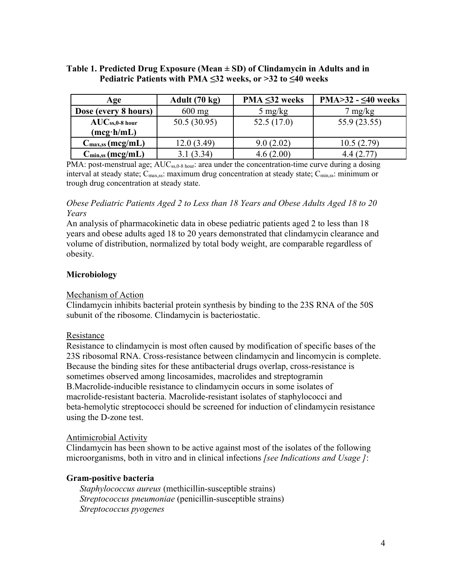#### **Table 1. Predicted Drug Exposure (Mean ± SD) of Clindamycin in Adults and in Pediatric Patients with PMA ≤32 weeks, or >32 to ≤40 weeks**

| Age                                               | Adult (70 kg) | $PMA \leq 32$ weeks | PMA $>32 - 540$ weeks |
|---------------------------------------------------|---------------|---------------------|-----------------------|
| Dose (every 8 hours)                              | $600$ mg      | $5 \text{ mg/kg}$   | $7 \text{ mg/kg}$     |
| $AUC_{ss,0-8 \text{ hour}}$<br>$(mcg \cdot h/mL)$ | 50.5(30.95)   | 52.5(17.0)          | 55.9 (23.55)          |
| $C_{\text{max,ss}}(\text{mcg/mL})$                | 12.0(3.49)    | 9.0(2.02)           | 10.5(2.79)            |
| $C_{\text{min,ss}}(\text{mcg/mL})$                | 3.1(3.34)     | 4.6(2.00)           | 4.4(2.77)             |

PMA: post-menstrual age; AUC<sub>ss,0-8 hour</sub>: area under the concentration-time curve during a dosing interval at steady state; C<sub>max,ss</sub>: maximum drug concentration at steady state; C<sub>min,ss</sub>: minimum or trough drug concentration at steady state.

## *Obese Pediatric Patients Aged 2 to Less than 18 Years and Obese Adults Aged 18 to 20 Years*

An analysis of pharmacokinetic data in obese pediatric patients aged 2 to less than 18 years and obese adults aged 18 to 20 years demonstrated that clindamycin clearance and volume of distribution, normalized by total body weight, are comparable regardless of obesity.

## **Microbiology**

## Mechanism of Action

Clindamycin inhibits bacterial protein synthesis by binding to the 23S RNA of the 50S subunit of the ribosome. Clindamycin is bacteriostatic.

## Resistance

Resistance to clindamycin is most often caused by modification of specific bases of the 23S ribosomal RNA. Cross-resistance between clindamycin and lincomycin is complete. Because the binding sites for these antibacterial drugs overlap, cross-resistance is sometimes observed among lincosamides, macrolides and streptogramin B.Macrolide-inducible resistance to clindamycin occurs in some isolates of macrolide-resistant bacteria. Macrolide-resistant isolates of staphylococci and beta-hemolytic streptococci should be screened for induction of clindamycin resistance using the D-zone test.

#### Antimicrobial Activity

Clindamycin has been shown to be active against most of the isolates of the following microorganisms, both in vitro and in clinical infections *[see Indications and Usage ]*:

## **Gram-positive bacteria**

*Staphylococcus aureus* (methicillin-susceptible strains) *Streptococcus pneumoniae* (penicillin-susceptible strains) *Streptococcus pyogenes*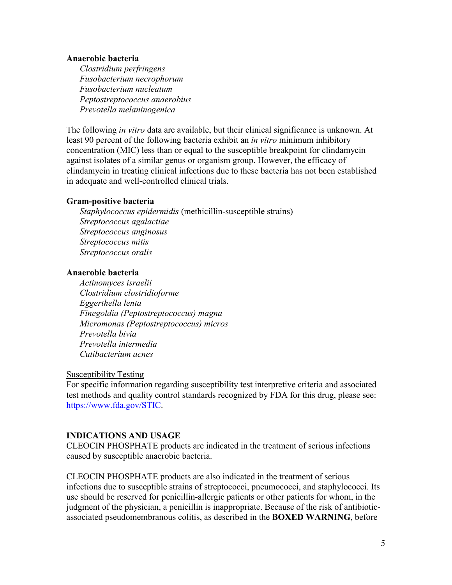#### **Anaerobic bacteria**

*Clostridium perfringens Fusobacterium necrophorum Fusobacterium nucleatum Peptostreptococcus anaerobius Prevotella melaninogenica*

The following *in vitro* data are available, but their clinical significance is unknown. At least 90 percent of the following bacteria exhibit an *in vitro* minimum inhibitory concentration (MIC) less than or equal to the susceptible breakpoint for clindamycin against isolates of a similar genus or organism group. However, the efficacy of clindamycin in treating clinical infections due to these bacteria has not been established in adequate and well-controlled clinical trials.

#### **Gram-positive bacteria**

*Staphylococcus epidermidis* (methicillin-susceptible strains) *Streptococcus agalactiae Streptococcus anginosus Streptococcus mitis Streptococcus oralis*

#### **Anaerobic bacteria**

*Actinomyces israelii Clostridium clostridioforme Eggerthella lenta Finegoldia (Peptostreptococcus) magna Micromonas (Peptostreptococcus) micros Prevotella bivia Prevotella intermedia Cutibacterium acnes*

#### Susceptibility Testing

For specific information regarding susceptibility test interpretive criteria and associated test methods and quality control standards recognized by FDA for this drug, please see: <https://www.fda.gov/STIC>.

#### **INDICATIONS AND USAGE**

CLEOCIN PHOSPHATE products are indicated in the treatment of serious infections caused by susceptible anaerobic bacteria.

CLEOCIN PHOSPHATE products are also indicated in the treatment of serious infections due to susceptible strains of streptococci, pneumococci, and staphylococci. Its use should be reserved for penicillin-allergic patients or other patients for whom, in the judgment of the physician, a penicillin is inappropriate. Because of the risk of antibioticassociated pseudomembranous colitis, as described in the **BOXED WARNING**, before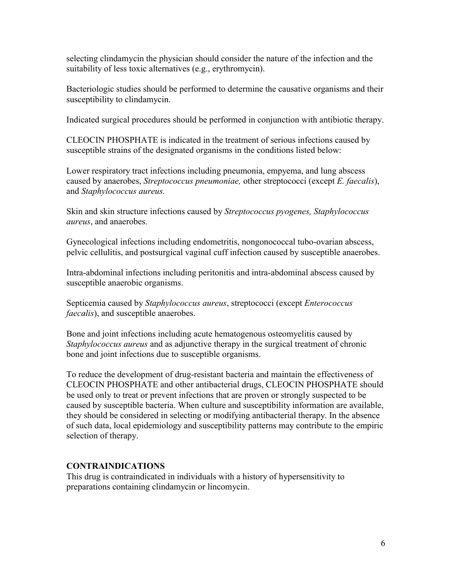selecting clindamycin the physician should consider the nature of the infection and the suitability of less toxic alternatives (e.g., erythromycin).

Bacteriologic studies should be performed to determine the causative organisms and their susceptibility to clindamycin.

Indicated surgical procedures should be performed in conjunction with antibiotic therapy.

CLEOCIN PHOSPHATE is indicated in the treatment of serious infections caused by susceptible strains of the designated organisms in the conditions listed below:

Lower respiratory tract infections including pneumonia, empyema, and lung abscess caused by anaerobes, *Streptococcus pneumoniae,* other streptococci (except *E. faecalis*), and *Staphylococcus aureus.*

Skin and skin structure infections caused by *Streptococcus pyogenes, Staphylococcus aureus*, and anaerobes.

Gynecological infections including endometritis, nongonococcal tubo-ovarian abscess, pelvic cellulitis, and postsurgical vaginal cuff infection caused by susceptible anaerobes.

Intra-abdominal infections including peritonitis and intra-abdominal abscess caused by susceptible anaerobic organisms.

Septicemia caused by *Staphylococcus aureus*, streptococci (except *Enterococcus faecalis*), and susceptible anaerobes.

Bone and joint infections including acute hematogenous osteomyelitis caused by *Staphylococcus aureus* and as adjunctive therapy in the surgical treatment of chronic bone and joint infections due to susceptible organisms.

To reduce the development of drug-resistant bacteria and maintain the effectiveness of CLEOCIN PHOSPHATE and other antibacterial drugs, CLEOCIN PHOSPHATE should be used only to treat or prevent infections that are proven or strongly suspected to be caused by susceptible bacteria. When culture and susceptibility information are available, they should be considered in selecting or modifying antibacterial therapy. In the absence of such data, local epidemiology and susceptibility patterns may contribute to the empiric selection of therapy.

#### **CONTRAINDICATIONS**

This drug is contraindicated in individuals with a history of hypersensitivity to preparations containing clindamycin or lincomycin.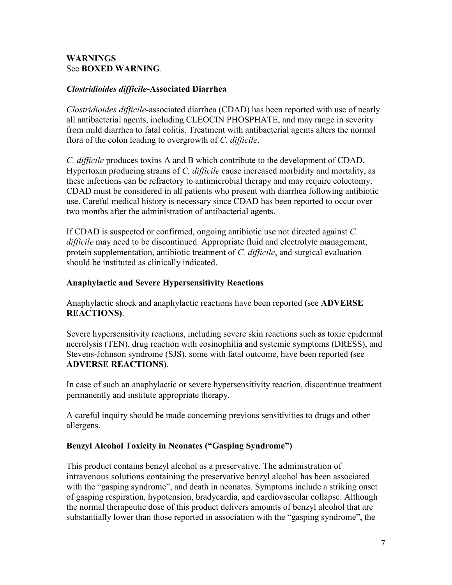#### **WARNINGS** See **BOXED WARNING**.

#### *Clostridioides difficile***-Associated Diarrhea**

*Clostridioides difficile*-associated diarrhea (CDAD) has been reported with use of nearly all antibacterial agents, including CLEOCIN PHOSPHATE, and may range in severity from mild diarrhea to fatal colitis. Treatment with antibacterial agents alters the normal flora of the colon leading to overgrowth of *C. difficile*.

*C. difficile* produces toxins A and B which contribute to the development of CDAD. Hypertoxin producing strains of *C. difficile* cause increased morbidity and mortality, as these infections can be refractory to antimicrobial therapy and may require colectomy. CDAD must be considered in all patients who present with diarrhea following antibiotic use. Careful medical history is necessary since CDAD has been reported to occur over two months after the administration of antibacterial agents.

If CDAD is suspected or confirmed, ongoing antibiotic use not directed against *C. difficile* may need to be discontinued. Appropriate fluid and electrolyte management, protein supplementation, antibiotic treatment of *C. difficile*, and surgical evaluation should be instituted as clinically indicated.

## **Anaphylactic and Severe Hypersensitivity Reactions**

Anaphylactic shock and anaphylactic reactions have been reported **(**see **ADVERSE REACTIONS)**.

Severe hypersensitivity reactions, including severe skin reactions such as toxic epidermal necrolysis (TEN), drug reaction with eosinophilia and systemic symptoms (DRESS), and Stevens-Johnson syndrome (SJS), some with fatal outcome, have been reported **(**see **ADVERSE REACTIONS)**.

In case of such an anaphylactic or severe hypersensitivity reaction, discontinue treatment permanently and institute appropriate therapy.

A careful inquiry should be made concerning previous sensitivities to drugs and other allergens.

## **Benzyl Alcohol Toxicity in Neonates ("Gasping Syndrome")**

This product contains benzyl alcohol as a preservative. The administration of intravenous solutions containing the preservative benzyl alcohol has been associated with the "gasping syndrome", and death in neonates. Symptoms include a striking onset of gasping respiration, hypotension, bradycardia, and cardiovascular collapse. Although the normal therapeutic dose of this product delivers amounts of benzyl alcohol that are substantially lower than those reported in association with the "gasping syndrome", the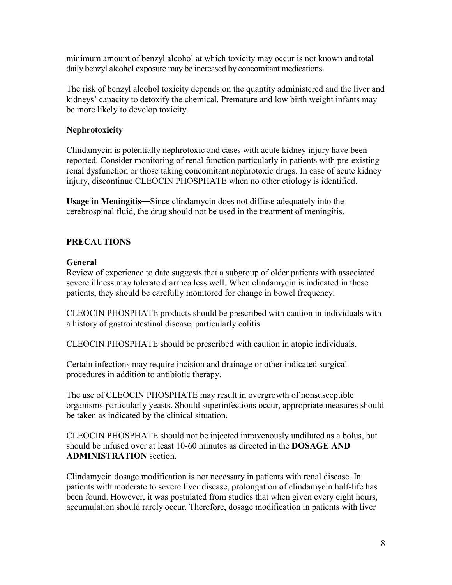minimum amount of benzyl alcohol at which toxicity may occur is not known and total daily benzyl alcohol exposure may be increased by concomitant medications.

The risk of benzyl alcohol toxicity depends on the quantity administered and the liver and kidneys' capacity to detoxify the chemical. Premature and low birth weight infants may be more likely to develop toxicity.

# **Nephrotoxicity**

Clindamycin is potentially nephrotoxic and cases with acute kidney injury have been reported. Consider monitoring of renal function particularly in patients with pre-existing renal dysfunction or those taking concomitant nephrotoxic drugs. In case of acute kidney injury, discontinue CLEOCIN PHOSPHATE when no other etiology is identified.

**Usage in Meningitis—**Since clindamycin does not diffuse adequately into the cerebrospinal fluid, the drug should not be used in the treatment of meningitis.

# **PRECAUTIONS**

## **General**

Review of experience to date suggests that a subgroup of older patients with associated severe illness may tolerate diarrhea less well. When clindamycin is indicated in these patients, they should be carefully monitored for change in bowel frequency.

CLEOCIN PHOSPHATE products should be prescribed with caution in individuals with a history of gastrointestinal disease, particularly colitis.

CLEOCIN PHOSPHATE should be prescribed with caution in atopic individuals.

Certain infections may require incision and drainage or other indicated surgical procedures in addition to antibiotic therapy.

The use of CLEOCIN PHOSPHATE may result in overgrowth of nonsusceptible organisms-particularly yeasts. Should superinfections occur, appropriate measures should be taken as indicated by the clinical situation.

CLEOCIN PHOSPHATE should not be injected intravenously undiluted as a bolus, but should be infused over at least 10-60 minutes as directed in the **DOSAGE AND ADMINISTRATION** section.

Clindamycin dosage modification is not necessary in patients with renal disease. In patients with moderate to severe liver disease, prolongation of clindamycin half-life has been found. However, it was postulated from studies that when given every eight hours, accumulation should rarely occur. Therefore, dosage modification in patients with liver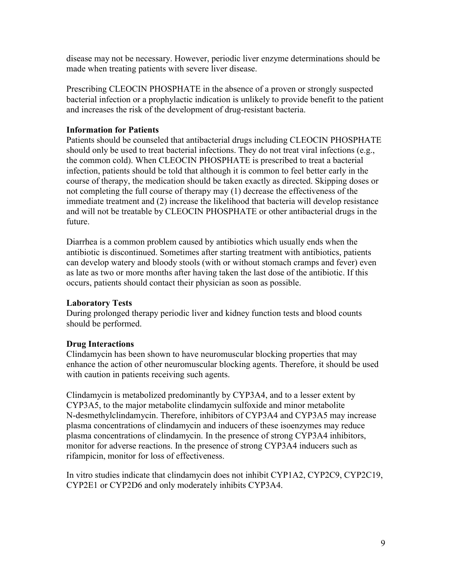disease may not be necessary. However, periodic liver enzyme determinations should be made when treating patients with severe liver disease.

Prescribing CLEOCIN PHOSPHATE in the absence of a proven or strongly suspected bacterial infection or a prophylactic indication is unlikely to provide benefit to the patient and increases the risk of the development of drug-resistant bacteria.

## **Information for Patients**

Patients should be counseled that antibacterial drugs including CLEOCIN PHOSPHATE should only be used to treat bacterial infections. They do not treat viral infections (e.g., the common cold). When CLEOCIN PHOSPHATE is prescribed to treat a bacterial infection, patients should be told that although it is common to feel better early in the course of therapy, the medication should be taken exactly as directed. Skipping doses or not completing the full course of therapy may (1) decrease the effectiveness of the immediate treatment and (2) increase the likelihood that bacteria will develop resistance and will not be treatable by CLEOCIN PHOSPHATE or other antibacterial drugs in the future.

Diarrhea is a common problem caused by antibiotics which usually ends when the antibiotic is discontinued. Sometimes after starting treatment with antibiotics, patients can develop watery and bloody stools (with or without stomach cramps and fever) even as late as two or more months after having taken the last dose of the antibiotic. If this occurs, patients should contact their physician as soon as possible.

## **Laboratory Tests**

During prolonged therapy periodic liver and kidney function tests and blood counts should be performed.

## **Drug Interactions**

Clindamycin has been shown to have neuromuscular blocking properties that may enhance the action of other neuromuscular blocking agents. Therefore, it should be used with caution in patients receiving such agents.

Clindamycin is metabolized predominantly by CYP3A4, and to a lesser extent by CYP3A5, to the major metabolite clindamycin sulfoxide and minor metabolite N-desmethylclindamycin. Therefore, inhibitors of CYP3A4 and CYP3A5 may increase plasma concentrations of clindamycin and inducers of these isoenzymes may reduce plasma concentrations of clindamycin. In the presence of strong CYP3A4 inhibitors, monitor for adverse reactions. In the presence of strong CYP3A4 inducers such as rifampicin, monitor for loss of effectiveness.

In vitro studies indicate that clindamycin does not inhibit CYP1A2, CYP2C9, CYP2C19, CYP2E1 or CYP2D6 and only moderately inhibits CYP3A4.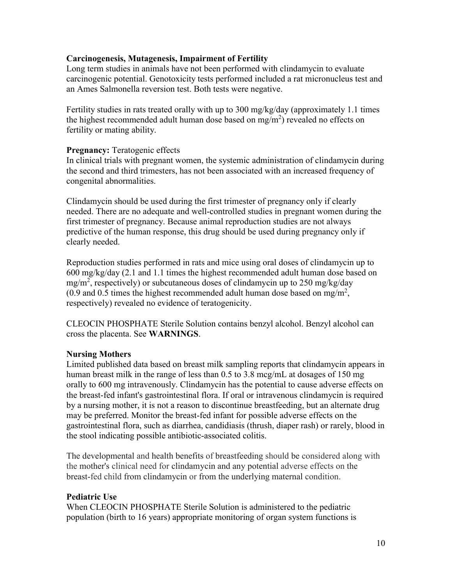#### **Carcinogenesis, Mutagenesis, Impairment of Fertility**

Long term studies in animals have not been performed with clindamycin to evaluate carcinogenic potential. Genotoxicity tests performed included a rat micronucleus test and an Ames Salmonella reversion test. Both tests were negative.

Fertility studies in rats treated orally with up to 300 mg/kg/day (approximately 1.1 times the highest recommended adult human dose based on mg/m<sup>2</sup>) revealed no effects on fertility or mating ability.

#### **Pregnancy:** Teratogenic effects

In clinical trials with pregnant women, the systemic administration of clindamycin during the second and third trimesters, has not been associated with an increased frequency of congenital abnormalities.

Clindamycin should be used during the first trimester of pregnancy only if clearly needed. There are no adequate and well-controlled studies in pregnant women during the first trimester of pregnancy. Because animal reproduction studies are not always predictive of the human response, this drug should be used during pregnancy only if clearly needed.

Reproduction studies performed in rats and mice using oral doses of clindamycin up to 600 mg/kg/day (2.1 and 1.1 times the highest recommended adult human dose based on mg/m<sup>2</sup>, respectively) or subcutaneous doses of clindamycin up to 250 mg/kg/day (0.9 and 0.5 times the highest recommended adult human dose based on mg/m<sup>2</sup>, respectively) revealed no evidence of teratogenicity.

CLEOCIN PHOSPHATE Sterile Solution contains benzyl alcohol. Benzyl alcohol can cross the placenta. See **WARNINGS**.

## **Nursing Mothers**

Limited published data based on breast milk sampling reports that clindamycin appears in human breast milk in the range of less than 0.5 to 3.8 mcg/mL at dosages of 150 mg orally to 600 mg intravenously. Clindamycin has the potential to cause adverse effects on the breast-fed infant's gastrointestinal flora. If oral or intravenous clindamycin is required by a nursing mother, it is not a reason to discontinue breastfeeding, but an alternate drug may be preferred. Monitor the breast-fed infant for possible adverse effects on the gastrointestinal flora, such as diarrhea, candidiasis (thrush, diaper rash) or rarely, blood in the stool indicating possible antibiotic-associated colitis.

The developmental and health benefits of breastfeeding should be considered along with the mother's clinical need for clindamycin and any potential adverse effects on the breast-fed child from clindamycin or from the underlying maternal condition.

## **Pediatric Use**

When CLEOCIN PHOSPHATE Sterile Solution is administered to the pediatric population (birth to 16 years) appropriate monitoring of organ system functions is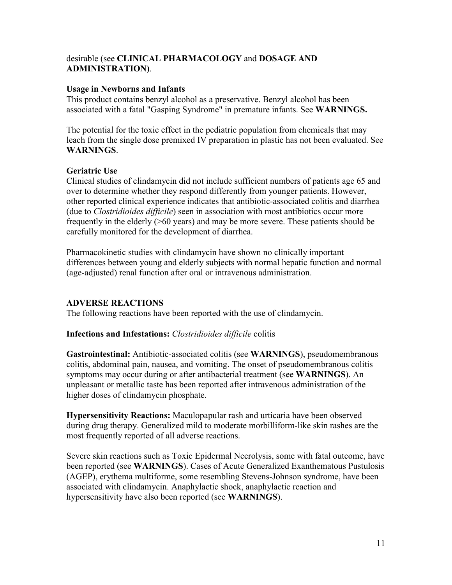#### desirable (see **CLINICAL PHARMACOLOGY** and **DOSAGE AND ADMINISTRATION)**.

#### **Usage in Newborns and Infants**

This product contains benzyl alcohol as a preservative. Benzyl alcohol has been associated with a fatal "Gasping Syndrome" in premature infants. See **WARNINGS.**

The potential for the toxic effect in the pediatric population from chemicals that may leach from the single dose premixed IV preparation in plastic has not been evaluated. See **WARNINGS**.

## **Geriatric Use**

Clinical studies of clindamycin did not include sufficient numbers of patients age 65 and over to determine whether they respond differently from younger patients. However, other reported clinical experience indicates that antibiotic-associated colitis and diarrhea (due to *Clostridioides difficile*) seen in association with most antibiotics occur more frequently in the elderly (>60 years) and may be more severe. These patients should be carefully monitored for the development of diarrhea.

Pharmacokinetic studies with clindamycin have shown no clinically important differences between young and elderly subjects with normal hepatic function and normal (age-adjusted) renal function after oral or intravenous administration.

## **ADVERSE REACTIONS**

The following reactions have been reported with the use of clindamycin.

## **Infections and Infestations:** *Clostridioides difficile* colitis

**Gastrointestinal:** Antibiotic-associated colitis (see **WARNINGS**), pseudomembranous colitis, abdominal pain, nausea, and vomiting. The onset of pseudomembranous colitis symptoms may occur during or after antibacterial treatment (see **WARNINGS**). An unpleasant or metallic taste has been reported after intravenous administration of the higher doses of clindamycin phosphate.

**Hypersensitivity Reactions:** Maculopapular rash and urticaria have been observed during drug therapy. Generalized mild to moderate morbilliform-like skin rashes are the most frequently reported of all adverse reactions.

Severe skin reactions such as Toxic Epidermal Necrolysis, some with fatal outcome, have been reported (see **WARNINGS**). Cases of Acute Generalized Exanthematous Pustulosis (AGEP), erythema multiforme, some resembling Stevens-Johnson syndrome, have been associated with clindamycin. Anaphylactic shock, anaphylactic reaction and hypersensitivity have also been reported (see **WARNINGS**).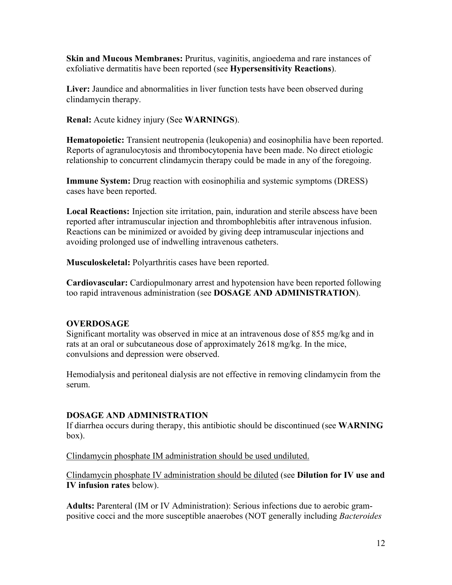**Skin and Mucous Membranes:** Pruritus, vaginitis, angioedema and rare instances of exfoliative dermatitis have been reported (see **Hypersensitivity Reactions**).

**Liver:** Jaundice and abnormalities in liver function tests have been observed during clindamycin therapy.

**Renal:** Acute kidney injury (See **WARNINGS**).

**Hematopoietic:** Transient neutropenia (leukopenia) and eosinophilia have been reported. Reports of agranulocytosis and thrombocytopenia have been made. No direct etiologic relationship to concurrent clindamycin therapy could be made in any of the foregoing.

**Immune System:** Drug reaction with eosinophilia and systemic symptoms (DRESS) cases have been reported.

**Local Reactions:** Injection site irritation, pain, induration and sterile abscess have been reported after intramuscular injection and thrombophlebitis after intravenous infusion. Reactions can be minimized or avoided by giving deep intramuscular injections and avoiding prolonged use of indwelling intravenous catheters.

**Musculoskeletal:** Polyarthritis cases have been reported.

**Cardiovascular:** Cardiopulmonary arrest and hypotension have been reported following too rapid intravenous administration (see **DOSAGE AND ADMINISTRATION**).

## **OVERDOSAGE**

Significant mortality was observed in mice at an intravenous dose of 855 mg/kg and in rats at an oral or subcutaneous dose of approximately 2618 mg/kg. In the mice, convulsions and depression were observed.

Hemodialysis and peritoneal dialysis are not effective in removing clindamycin from the serum.

## **DOSAGE AND ADMINISTRATION**

If diarrhea occurs during therapy, this antibiotic should be discontinued (see **WARNING**  box).

Clindamycin phosphate IM administration should be used undiluted.

Clindamycin phosphate IV administration should be diluted (see **Dilution for IV use and IV infusion rates** below).

**Adults:** Parenteral (IM or IV Administration): Serious infections due to aerobic grampositive cocci and the more susceptible anaerobes (NOT generally including *Bacteroides*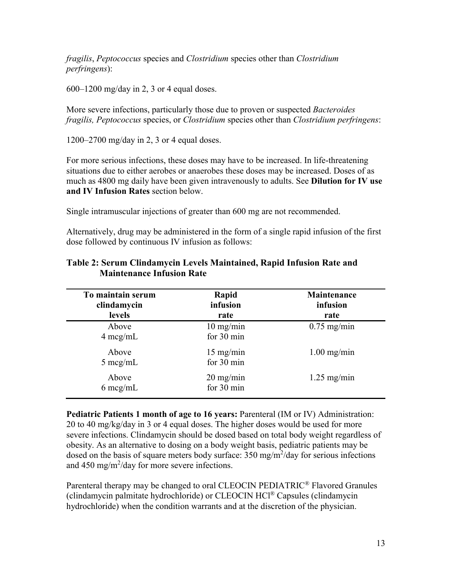*fragilis*, *Peptococcus* species and *Clostridium* species other than *Clostridium perfringens*):

 $600-1200$  mg/day in 2, 3 or 4 equal doses.

More severe infections, particularly those due to proven or suspected *Bacteroides fragilis, Peptococcus* species, or *Clostridium* species other than *Clostridium perfringens*:

1200–2700 mg/day in 2, 3 or 4 equal doses.

For more serious infections, these doses may have to be increased. In life-threatening situations due to either aerobes or anaerobes these doses may be increased. Doses of as much as 4800 mg daily have been given intravenously to adults. See **Dilution for IV use and IV Infusion Rates** section below.

Single intramuscular injections of greater than 600 mg are not recommended.

Alternatively, drug may be administered in the form of a single rapid infusion of the first dose followed by continuous IV infusion as follows:

| To maintain serum<br>clindamycin<br><b>levels</b> | Rapid<br>infusion<br>rate         | Maintenance<br>infusion<br>rate |
|---------------------------------------------------|-----------------------------------|---------------------------------|
| Above<br>$4 \text{~mg/mL}$                        | $10 \text{ mg/min}$<br>for 30 min | $0.75$ mg/min                   |
| Above<br>$5 \text{~mg/mL}$                        | $15 \text{ mg/min}$<br>for 30 min | $1.00$ mg/min                   |
| Above<br>$6 \text{~mcg/mL}$                       | $20$ mg/min<br>for 30 min         | $1.25$ mg/min                   |

## **Table 2: Serum Clindamycin Levels Maintained, Rapid Infusion Rate and Maintenance Infusion Rate**

**Pediatric Patients 1 month of age to 16 years:** Parenteral (IM or IV) Administration: 20 to 40 mg/kg/day in 3 or 4 equal doses. The higher doses would be used for more severe infections. Clindamycin should be dosed based on total body weight regardless of obesity. As an alternative to dosing on a body weight basis, pediatric patients may be dosed on the basis of square meters body surface:  $350 \text{ mg/m}^2$ /day for serious infections and  $450 \text{ mg/m}^2/\text{day}$  for more severe infections.

Parenteral therapy may be changed to oral CLEOCIN PEDIATRIC<sup>®</sup> Flavored Granules (clindamycin palmitate hydrochloride) or CLEOCIN HCl® Capsules (clindamycin hydrochloride) when the condition warrants and at the discretion of the physician.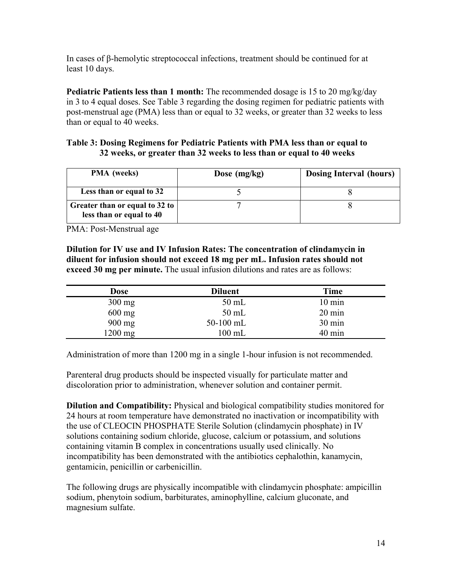In cases of β-hemolytic streptococcal infections, treatment should be continued for at least 10 days.

**Pediatric Patients less than 1 month:** The recommended dosage is 15 to 20 mg/kg/day in 3 to 4 equal doses. See Table 3 regarding the dosing regimen for pediatric patients with post-menstrual age (PMA) less than or equal to 32 weeks, or greater than 32 weeks to less than or equal to 40 weeks.

#### **Table 3: Dosing Regimens for Pediatric Patients with PMA less than or equal to 32 weeks, or greater than 32 weeks to less than or equal to 40 weeks**

| <b>PMA</b> (weeks)                                         | Dose $(mg/kg)$ | <b>Dosing Interval (hours)</b> |
|------------------------------------------------------------|----------------|--------------------------------|
| Less than or equal to 32                                   |                |                                |
| Greater than or equal to 32 to<br>less than or equal to 40 |                |                                |

PMA: Post-Menstrual age

**Dilution for IV use and IV Infusion Rates: The concentration of clindamycin in diluent for infusion should not exceed 18 mg per mL. Infusion rates should not exceed 30 mg per minute.** The usual infusion dilutions and rates are as follows:

| Dose     | <b>Diluent</b>   | Time             |
|----------|------------------|------------------|
| $300$ mg | $50$ mL          | $10 \text{ min}$ |
| $600$ mg | $50$ mL          | $20 \text{ min}$ |
| 900 mg   | $50-100$ mL      | $30 \text{ min}$ |
| 1200 mg  | $100 \text{ mL}$ | $40 \text{ min}$ |

Administration of more than 1200 mg in a single 1-hour infusion is not recommended.

Parenteral drug products should be inspected visually for particulate matter and discoloration prior to administration, whenever solution and container permit.

**Dilution and Compatibility:** Physical and biological compatibility studies monitored for 24 hours at room temperature have demonstrated no inactivation or incompatibility with the use of CLEOCIN PHOSPHATE Sterile Solution (clindamycin phosphate) in IV solutions containing sodium chloride, glucose, calcium or potassium, and solutions containing vitamin B complex in concentrations usually used clinically. No incompatibility has been demonstrated with the antibiotics cephalothin, kanamycin, gentamicin, penicillin or carbenicillin.

The following drugs are physically incompatible with clindamycin phosphate: ampicillin sodium, phenytoin sodium, barbiturates, aminophylline, calcium gluconate, and magnesium sulfate.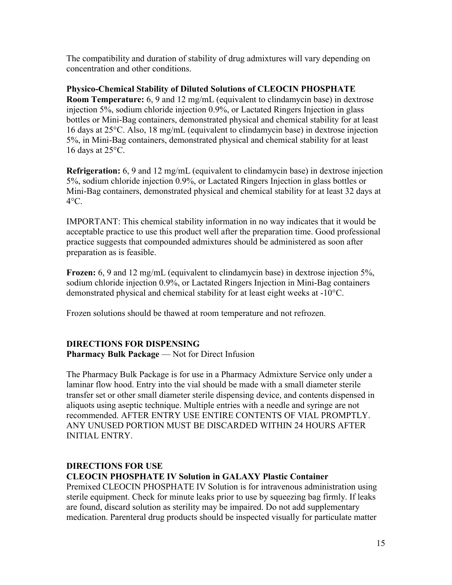The compatibility and duration of stability of drug admixtures will vary depending on concentration and other conditions.

**Physico-Chemical Stability of Diluted Solutions of CLEOCIN PHOSPHATE Room Temperature:** 6, 9 and 12 mg/mL (equivalent to clindamycin base) in dextrose injection 5%, sodium chloride injection 0.9%, or Lactated Ringers Injection in glass bottles or Mini-Bag containers, demonstrated physical and chemical stability for at least 16 days at 25°C. Also, 18 mg/mL (equivalent to clindamycin base) in dextrose injection 5%, in Mini-Bag containers, demonstrated physical and chemical stability for at least 16 days at 25°C.

**Refrigeration:** 6, 9 and 12 mg/mL (equivalent to clindamycin base) in dextrose injection 5%, sodium chloride injection 0.9%, or Lactated Ringers Injection in glass bottles or Mini-Bag containers, demonstrated physical and chemical stability for at least 32 days at  $4^{\circ}$ C.

IMPORTANT: This chemical stability information in no way indicates that it would be acceptable practice to use this product well after the preparation time. Good professional practice suggests that compounded admixtures should be administered as soon after preparation as is feasible.

**Frozen:** 6, 9 and 12 mg/mL (equivalent to clindamycin base) in dextrose injection 5%, sodium chloride injection 0.9%, or Lactated Ringers Injection in Mini-Bag containers demonstrated physical and chemical stability for at least eight weeks at -10°C.

Frozen solutions should be thawed at room temperature and not refrozen.

## **DIRECTIONS FOR DISPENSING**

**Pharmacy Bulk Package** — Not for Direct Infusion

The Pharmacy Bulk Package is for use in a Pharmacy Admixture Service only under a laminar flow hood. Entry into the vial should be made with a small diameter sterile transfer set or other small diameter sterile dispensing device, and contents dispensed in aliquots using aseptic technique. Multiple entries with a needle and syringe are not recommended. AFTER ENTRY USE ENTIRE CONTENTS OF VIAL PROMPTLY. ANY UNUSED PORTION MUST BE DISCARDED WITHIN 24 HOURS AFTER INITIAL ENTRY.

# **DIRECTIONS FOR USE CLEOCIN PHOSPHATE IV Solution in GALAXY Plastic Container**

Premixed CLEOCIN PHOSPHATE IV Solution is for intravenous administration using sterile equipment. Check for minute leaks prior to use by squeezing bag firmly. If leaks are found, discard solution as sterility may be impaired. Do not add supplementary medication. Parenteral drug products should be inspected visually for particulate matter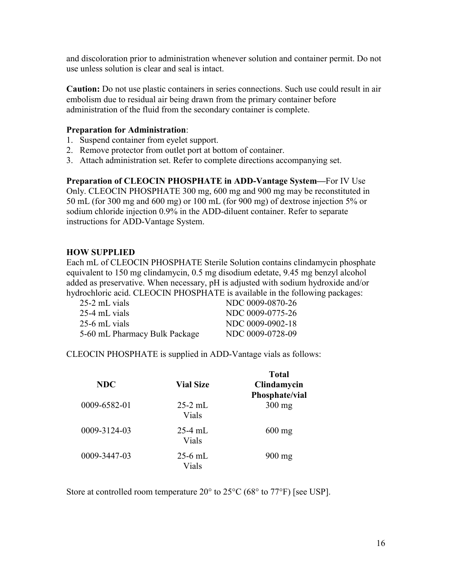and discoloration prior to administration whenever solution and container permit. Do not use unless solution is clear and seal is intact.

**Caution:** Do not use plastic containers in series connections. Such use could result in air embolism due to residual air being drawn from the primary container before administration of the fluid from the secondary container is complete.

#### **Preparation for Administration**:

- 1. Suspend container from eyelet support.
- 2. Remove protector from outlet port at bottom of container.
- 3. Attach administration set. Refer to complete directions accompanying set.

**Preparation of CLEOCIN PHOSPHATE in ADD-Vantage System—**For IV Use Only. CLEOCIN PHOSPHATE 300 mg, 600 mg and 900 mg may be reconstituted in 50 mL (for 300 mg and 600 mg) or 100 mL (for 900 mg) of dextrose injection 5% or sodium chloride injection 0.9% in the ADD-diluent container. Refer to separate instructions for ADD-Vantage System.

## **HOW SUPPLIED**

Each mL of CLEOCIN PHOSPHATE Sterile Solution contains clindamycin phosphate equivalent to 150 mg clindamycin, 0.5 mg disodium edetate, 9.45 mg benzyl alcohol added as preservative. When necessary, pH is adjusted with sodium hydroxide and/or hydrochloric acid. CLEOCIN PHOSPHATE is available in the following packages:

| 25-2 mL vials                 | NDC 0009-0870-26 |
|-------------------------------|------------------|
| 25-4 mL vials                 | NDC 0009-0775-26 |
| 25-6 mL vials                 | NDC 0009-0902-18 |
| 5-60 mL Pharmacy Bulk Package | NDC 0009-0728-09 |

CLEOCIN PHOSPHATE is supplied in ADD-Vantage vials as follows:

| <b>NDC</b>   | <b>Vial Size</b>   | <b>Total</b><br>Clindamycin<br>Phosphate/vial |
|--------------|--------------------|-----------------------------------------------|
| 0009-6582-01 | $25-2$ mL<br>Vials | $300$ mg                                      |
| 0009-3124-03 | 25-4 mL<br>Vials   | $600$ mg                                      |
| 0009-3447-03 | $25-6$ mL<br>Vials | $900$ mg                                      |

Store at controlled room temperature  $20^{\circ}$  to  $25^{\circ}$ C (68 $^{\circ}$  to  $77^{\circ}$ F) [see USP].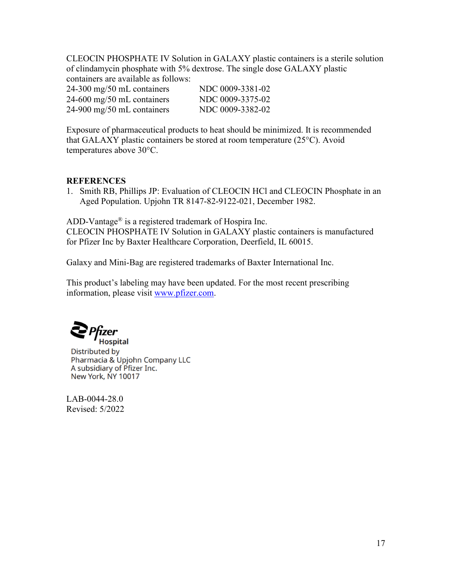CLEOCIN PHOSPHATE IV Solution in GALAXY plastic containers is a sterile solution of clindamycin phosphate with 5% dextrose. The single dose GALAXY plastic containers are available as follows:

| $24-300$ mg/50 mL containers | NDC 0009-3381-02 |
|------------------------------|------------------|
| $24-600$ mg/50 mL containers | NDC 0009-3375-02 |
| $24-900$ mg/50 mL containers | NDC 0009-3382-02 |

Exposure of pharmaceutical products to heat should be minimized. It is recommended that GALAXY plastic containers be stored at room temperature (25°C). Avoid temperatures above 30°C.

#### **REFERENCES**

1. Smith RB, Phillips JP: Evaluation of CLEOCIN HCl and CLEOCIN Phosphate in an Aged Population. Upjohn TR 8147-82-9122-021, December 1982.

ADD-Vantage<sup>®</sup> is a registered trademark of Hospira Inc.

CLEOCIN PHOSPHATE IV Solution in GALAXY plastic containers is manufactured for Pfizer Inc by Baxter Healthcare Corporation, Deerfield, IL 60015.

Galaxy and Mini-Bag are registered trademarks of Baxter International Inc.

This product's labeling may have been updated. For the most recent prescribing information, please visit [www.pfizer.com.](http://www.pfizer.com/)

**Hospital** 

Distributed by Pharmacia & Upjohn Company LLC A subsidiary of Pfizer Inc. New York, NY 10017

LAB-0044-28.0 Revised: 5/2022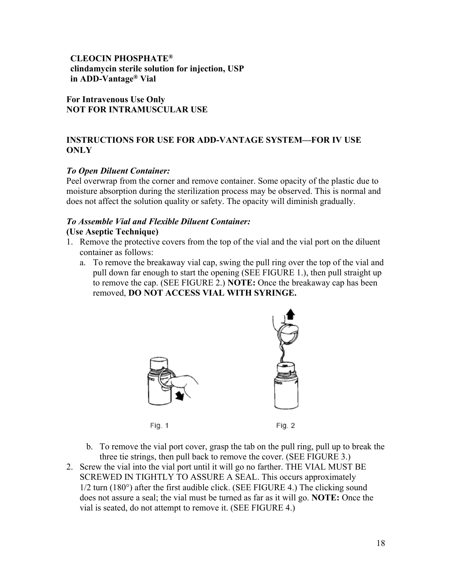**CLEOCIN PHOSPHATE® clindamycin sterile solution for injection, USP in ADD-Vantage® Vial**

**For Intravenous Use Only NOT FOR INTRAMUSCULAR USE**

## **INSTRUCTIONS FOR USE FOR ADD-VANTAGE SYSTEM—FOR IV USE ONLY**

## *To Open Diluent Container:*

Peel overwrap from the corner and remove container. Some opacity of the plastic due to moisture absorption during the sterilization process may be observed. This is normal and does not affect the solution quality or safety. The opacity will diminish gradually.

# *To Assemble Vial and Flexible Diluent Container:*

## **(Use Aseptic Technique)**

- 1. Remove the protective covers from the top of the vial and the vial port on the diluent container as follows:
	- a. To remove the breakaway vial cap, swing the pull ring over the top of the vial and pull down far enough to start the opening (SEE FIGURE 1.), then pull straight up to remove the cap. (SEE FIGURE 2.) **NOTE:** Once the breakaway cap has been removed, **DO NOT ACCESS VIAL WITH SYRINGE.**



- b. To remove the vial port cover, grasp the tab on the pull ring, pull up to break the three tie strings, then pull back to remove the cover. (SEE FIGURE 3.)
- 2. Screw the vial into the vial port until it will go no farther. THE VIAL MUST BE SCREWED IN TIGHTLY TO ASSURE A SEAL. This occurs approximately 1/2 turn (180°) after the first audible click. (SEE FIGURE 4.) The clicking sound does not assure a seal; the vial must be turned as far as it will go. **NOTE:** Once the vial is seated, do not attempt to remove it. (SEE FIGURE 4.)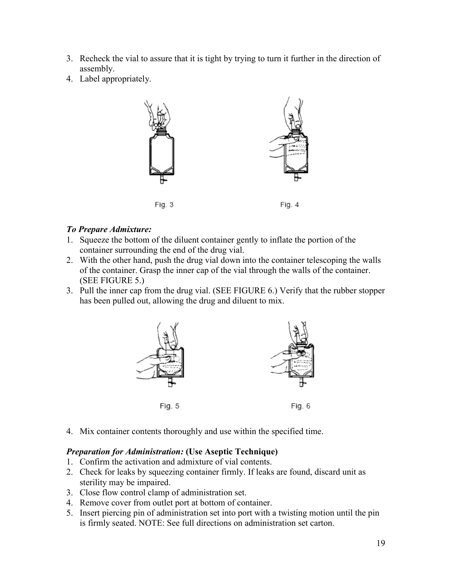- 3. Recheck the vial to assure that it is tight by trying to turn it further in the direction of assembly.
- 4. Label appropriately.



#### *To Prepare Admixture:*

- 1. Squeeze the bottom of the diluent container gently to inflate the portion of the container surrounding the end of the drug vial.
- 2. With the other hand, push the drug vial down into the container telescoping the walls of the container. Grasp the inner cap of the vial through the walls of the container. (SEE FIGURE 5.)
- 3. Pull the inner cap from the drug vial. (SEE FIGURE 6.) Verify that the rubber stopper has been pulled out, allowing the drug and diluent to mix.



4. Mix container contents thoroughly and use within the specified time.

## *Preparation for Administration:* **(Use Aseptic Technique)**

- 1. Confirm the activation and admixture of vial contents.
- 2. Check for leaks by squeezing container firmly. If leaks are found, discard unit as sterility may be impaired.
- 3. Close flow control clamp of administration set.
- 4. Remove cover from outlet port at bottom of container.
- 5. Insert piercing pin of administration set into port with a twisting motion until the pin is firmly seated. NOTE: See full directions on administration set carton.